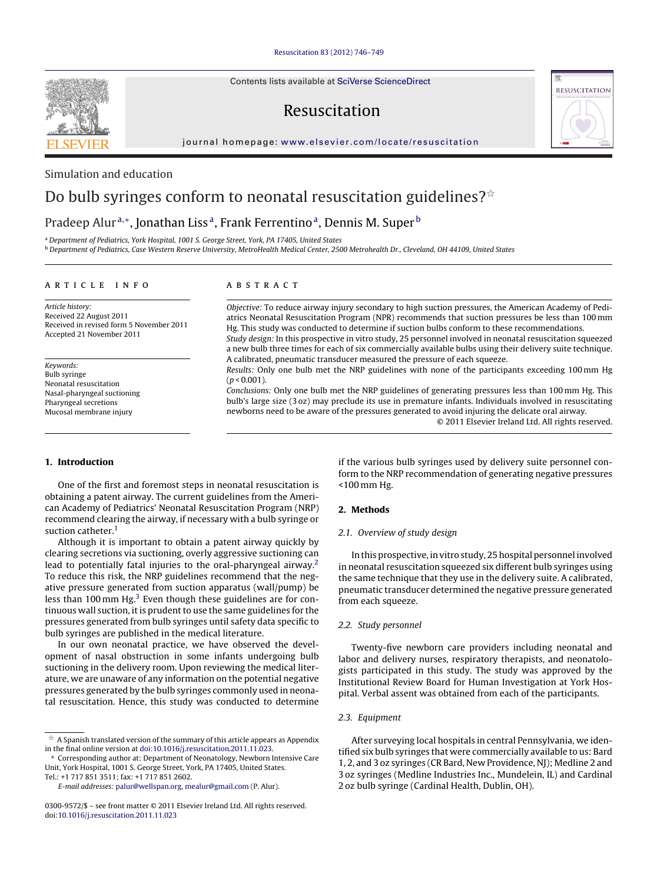Contents lists available at SciVerse [ScienceDirect](http://www.sciencedirect.com/science/journal/03009572)

# Resuscitation



iournal homepage: [www.elsevier.com/locate/resuscitation](http://www.elsevier.com/locate/resuscitation)



## Simulation and education

# Do bulb syringes conform to neonatal resuscitation guidelines? $^{\star}$

## Pradeep Alur<sup>a,∗</sup>, Jonathan Liss<sup>a</sup>, Frank Ferrentino<sup>a</sup>, Dennis M. Super<sup>b</sup>

<sup>a</sup> Department of Pediatrics, York Hospital, 1001 S. George Street, York, PA 17405, United States

<sup>b</sup> Department of Pediatrics, Case Western Reserve University, MetroHealth Medical Center, 2500 Metrohealth Dr., Cleveland, OH 44109, United States

#### a r t i c l e i n f o

Article history: Received 22 August 2011 Received in revised form 5 November 2011 Accepted 21 November 2011

## Keywords:

Bulb syringe Neonatal resuscitation Nasal-pharyngeal suctioning Pharyngeal secretions Mucosal membrane injury

### A B S T R A C T

Objective: To reduce airway injury secondary to high suction pressures, the American Academy of Pediatrics Neonatal Resuscitation Program (NPR) recommends that suction pressures be less than 100 mm Hg. This study was conducted to determine if suction bulbs conform to these recommendations. Study design: In this prospective in vitro study, 25 personnel involved in neonatal resuscitation squeezed

a new bulb three times for each of six commercially available bulbs using their delivery suite technique. A calibrated, pneumatic transducer measured the pressure of each squeeze.

Results: Only one bulb met the NRP guidelines with none of the participants exceeding 100 mm Hg  $(p < 0.001)$ .

Conclusions: Only one bulb met the NRP guidelines of generating pressures less than 100 mm Hg. This bulb's large size (3 oz) may preclude its use in premature infants. Individuals involved in resuscitating newborns need to be aware of the pressures generated to avoid injuring the delicate oral airway.

© 2011 Elsevier Ireland Ltd. All rights reserved.

### **1. Introduction**

One of the first and foremost steps in neonatal resuscitation is obtaining a patent airway. The current guidelines from the American Academy of Pediatrics' Neonatal Resuscitation Program (NRP) recommend clearing the airway, if necessary with a bulb syringe or suction catheter.<sup>1</sup>

Although it is important to obtain a patent airway quickly by clearing secretions via suctioning, overly aggressive suctioning can lead to potentially fatal injuries to the oral-pharyngeal airway.<sup>2</sup> To reduce this risk, the NRP guidelines recommend that the negative pressure generated from suction apparatus (wall/pump) be less than 100 mm Hg.<sup>[3](#page-2-0)</sup> Even though these guidelines are for continuous wall suction, it is prudent to use the same guidelines for the pressures generated from bulb syringes until safety data specific to bulb syringes are published in the medical literature.

In our own neonatal practice, we have observed the development of nasal obstruction in some infants undergoing bulb suctioning in the delivery room. Upon reviewing the medical literature, we are unaware of any information on the potential negative pressures generated by the bulb syringes commonly used in neonatal resuscitation. Hence, this study was conducted to determine if the various bulb syringes used by delivery suite personnel conform to the NRP recommendation of generating negative pressures <100 mm Hg.

#### **2. Methods**

#### 2.1. Overview of study design

In this prospective, in vitro study, 25 hospital personnel involved in neonatal resuscitation squeezed six different bulb syringes using the same technique that they use in the delivery suite. A calibrated, pneumatic transducer determined the negative pressure generated from each squeeze.

#### 2.2. Study personnel

Twenty-five newborn care providers including neonatal and labor and delivery nurses, respiratory therapists, and neonatologists participated in this study. The study was approved by the Institutional Review Board for Human Investigation at York Hospital. Verbal assent was obtained from each of the participants.

#### 2.3. Equipment

After surveying local hospitals in central Pennsylvania, we identified six bulb syringes that were commercially available to us: Bard 1, 2, and 3 oz syringes (CR Bard, New Providence, NJ); Medline 2 and 3 oz syringes (Medline Industries Inc., Mundelein, IL) and Cardinal 2 oz bulb syringe (Cardinal Health, Dublin, OH).

 $^\star \,$  A Spanish translated version of the summary of this article appears as Appendix in the final online version at [doi:10.1016/j.resuscitation.2011.11.023](http://dx.doi.org/10.1016/j.resuscitation.2011.11.023).

<sup>∗</sup> Corresponding author at: Department of Neonatology, Newborn Intensive Care Unit, York Hospital, 1001 S. George Street, York, PA 17405, United States. Tel.: +1 717 851 3511; fax: +1 717 851 2602.

E-mail addresses: [palur@wellspan.org](mailto:palur@wellspan.org), [mealur@gmail.com](mailto:mealur@gmail.com) (P. Alur).

<sup>0300-9572/\$</sup> – see front matter © 2011 Elsevier Ireland Ltd. All rights reserved. doi:[10.1016/j.resuscitation.2011.11.023](dx.doi.org/10.1016/j.resuscitation.2011.11.023)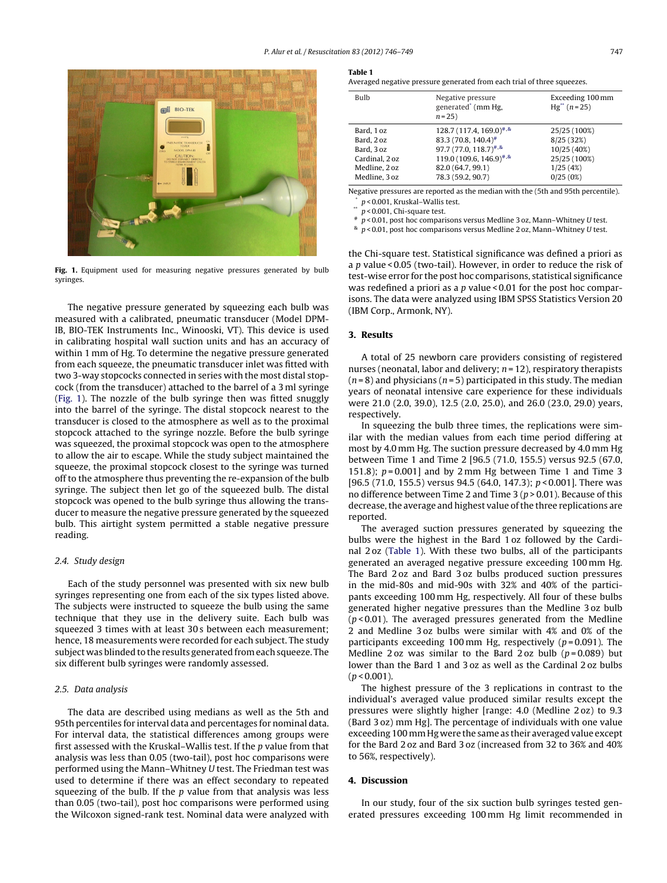

**Fig. 1.** Equipment used for measuring negative pressures generated by bulb syringes.

The negative pressure generated by squeezing each bulb was measured with a calibrated, pneumatic transducer (Model DPM-IB, BIO-TEK Instruments Inc., Winooski, VT). This device is used in calibrating hospital wall suction units and has an accuracy of within 1 mm of Hg. To determine the negative pressure generated from each squeeze, the pneumatic transducer inlet was fitted with two 3-way stopcocks connected in series with the most distal stopcock (from the transducer) attached to the barrel of a 3 ml syringe (Fig. 1). The nozzle of the bulb syringe then was fitted snuggly into the barrel of the syringe. The distal stopcock nearest to the transducer is closed to the atmosphere as well as to the proximal stopcock attached to the syringe nozzle. Before the bulb syringe was squeezed, the proximal stopcock was open to the atmosphere to allow the air to escape. While the study subject maintained the squeeze, the proximal stopcock closest to the syringe was turned off to the atmosphere thus preventing the re-expansion of the bulb syringe. The subject then let go of the squeezed bulb. The distal stopcock was opened to the bulb syringe thus allowing the transducer to measure the negative pressure generated by the squeezed bulb. This airtight system permitted a stable negative pressure reading.

#### 2.4. Study design

Each of the study personnel was presented with six new bulb syringes representing one from each of the six types listed above. The subjects were instructed to squeeze the bulb using the same technique that they use in the delivery suite. Each bulb was squeezed 3 times with at least 30 s between each measurement; hence, 18 measurements were recorded for each subject. The study subject was blinded to the results generated from each squeeze. The six different bulb syringes were randomly assessed.

#### 2.5. Data analysis

The data are described using medians as well as the 5th and 95th percentiles for interval data and percentages for nominal data. For interval data, the statistical differences among groups were first assessed with the Kruskal–Wallis test. If the p value from that analysis was less than 0.05 (two-tail), post hoc comparisons were performed using the Mann–Whitney U test. The Friedman test was used to determine if there was an effect secondary to repeated squeezing of the bulb. If the  $p$  value from that analysis was less than 0.05 (two-tail), post hoc comparisons were performed using the Wilcoxon signed-rank test. Nominal data were analyzed with

Averaged negative pressure generated from each trial of three squeezes.

| <b>Bulb</b>    | Negative pressure<br>generated <sup>*</sup> (mm Hg,<br>$n = 25$ | Exceeding 100 mm<br>$Hg^{**}$ (n = 25) |
|----------------|-----------------------------------------------------------------|----------------------------------------|
| Bard, 1 oz     | $128.7(117.4, 169.0)^{+,8}$                                     | 25/25 (100%)                           |
| Bard, 2 oz     | 83.3 (70.8, 140.4) <sup>#</sup>                                 | 8/25 (32%)                             |
| Bard, 3 oz     | $97.7(77.0, 118.7)^{4.8}$                                       | 10/25 (40%)                            |
| Cardinal, 2 oz | 119.0 (109.6, 146.9) <sup>#,&amp;</sup>                         | 25/25 (100%)                           |
| Medline, 2 oz  | 82.0 (64.7, 99.1)                                               | 1/25(4%)                               |
| Medline, 3 oz  | 78.3 (59.2, 90.7)                                               | 0/25(0%)                               |

Negative pressures are reported as the median with the (5th and 95th percentile).  $p$  < 0.001, Kruskal–Wallis test.

 $p$  < 0.001, Chi-square test.

 $p$  < 0.01, post hoc comparisons versus Medline 3 oz, Mann-Whitney U test.

 $\frac{1}{2}$  p < 0.01, post hoc comparisons versus Medline 2 oz, Mann–Whitney U test.

the Chi-square test. Statistical significance was defined a priori as a  $p$  value < 0.05 (two-tail). However, in order to reduce the risk of test-wise error for the post hoc comparisons, statistical significance was redefined a priori as a p value < 0.01 for the post hoc comparisons. The data were analyzed using IBM SPSS Statistics Version 20 (IBM Corp., Armonk, NY).

#### **3. Results**

A total of 25 newborn care providers consisting of registered nurses (neonatal, labor and delivery;  $n = 12$ ), respiratory therapists  $(n=8)$  and physicians  $(n=5)$  participated in this study. The median years of neonatal intensive care experience for these individuals were 21.0 (2.0, 39.0), 12.5 (2.0, 25.0), and 26.0 (23.0, 29.0) years, respectively.

In squeezing the bulb three times, the replications were similar with the median values from each time period differing at most by 4.0 mm Hg. The suction pressure decreased by 4.0 mm Hg between Time 1 and Time 2 [96.5 (71.0, 155.5) versus 92.5 (67.0, 151.8);  $p = 0.001$  and by 2 mm Hg between Time 1 and Time 3 [96.5 (71.0, 155.5) versus 94.5 (64.0, 147.3);  $p < 0.001$ ]. There was no difference between Time 2 and Time 3 ( $p > 0.01$ ). Because of this decrease, the average and highest value of the three replications are reported.

The averaged suction pressures generated by squeezing the bulbs were the highest in the Bard 1 oz followed by the Cardinal 2 oz (Table 1). With these two bulbs, all of the participants generated an averaged negative pressure exceeding 100 mm Hg. The Bard 2 oz and Bard 3 oz bulbs produced suction pressures in the mid-80s and mid-90s with 32% and 40% of the participants exceeding 100 mm Hg, respectively. All four of these bulbs generated higher negative pressures than the Medline 3 oz bulb  $(p < 0.01)$ . The averaged pressures generated from the Medline 2 and Medline 3 oz bulbs were similar with 4% and 0% of the participants exceeding 100 mm Hg, respectively ( $p = 0.091$ ). The Medline 2 oz was similar to the Bard 2 oz bulb  $(p=0.089)$  but lower than the Bard 1 and 3 oz as well as the Cardinal 2 oz bulbs  $(p < 0.001)$ .

The highest pressure of the 3 replications in contrast to the individual's averaged value produced similar results except the pressures were slightly higher [range: 4.0 (Medline 2 oz) to 9.3 (Bard 3 oz) mm Hg]. The percentage of individuals with one value exceeding 100 mmHg were the same as their averaged value except for the Bard 2 oz and Bard 3 oz (increased from 32 to 36% and 40% to 56%, respectively).

#### **4. Discussion**

In our study, four of the six suction bulb syringes tested generated pressures exceeding 100 mm Hg limit recommended in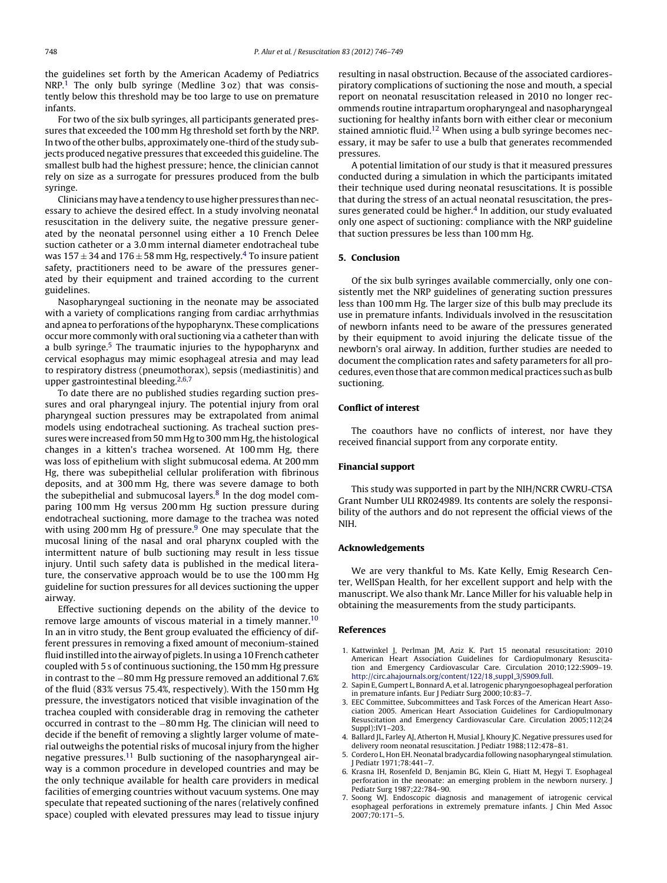<span id="page-2-0"></span>the guidelines set forth by the American Academy of Pediatrics NRP.<sup>1</sup> The only bulb syringe (Medline 3 oz) that was consistently below this threshold may be too large to use on premature infants.

For two of the six bulb syringes, all participants generated pressures that exceeded the 100 mm Hg threshold set forth by the NRP. In two of the other bulbs, approximately one-third of the study subjects produced negative pressures that exceeded this guideline. The smallest bulb had the highest pressure; hence, the clinician cannot rely on size as a surrogate for pressures produced from the bulb syringe.

Clinicians may have a tendency to use higher pressures than necessary to achieve the desired effect. In a study involving neonatal resuscitation in the delivery suite, the negative pressure generated by the neonatal personnel using either a 10 French Delee suction catheter or a 3.0 mm internal diameter endotracheal tube was  $157 \pm 34$  and  $176 \pm 58$  mm Hg, respectively.<sup>4</sup> To insure patient safety, practitioners need to be aware of the pressures generated by their equipment and trained according to the current guidelines.

Nasopharyngeal suctioning in the neonate may be associated with a variety of complications ranging from cardiac arrhythmias and apnea to perforations of the hypopharynx. These complications occur more commonly with oral suctioning via a catheter than with a bulb syringe.<sup>5</sup> The traumatic injuries to the hypopharynx and cervical esophagus may mimic esophageal atresia and may lead to respiratory distress (pneumothorax), sepsis (mediastinitis) and upper gastrointestinal bleeding. $2,6,7$ 

To date there are no published studies regarding suction pressures and oral pharyngeal injury. The potential injury from oral pharyngeal suction pressures may be extrapolated from animal models using endotracheal suctioning. As tracheal suction pressures were increased from 50 mm Hg to 300 mm Hg, the histological changes in a kitten's trachea worsened. At 100 mm Hg, there was loss of epithelium with slight submucosal edema. At 200 mm Hg, there was subepithelial cellular proliferation with fibrinous deposits, and at 300 mm Hg, there was severe damage to both the subepithelial and submucosal layers. $8$  In the dog model comparing 100 mm Hg versus 200 mm Hg suction pressure during endotracheal suctioning, more damage to the trachea was noted with using 200 mm Hg of pressure.<sup>[9](#page-3-0)</sup> One may speculate that the mucosal lining of the nasal and oral pharynx coupled with the intermittent nature of bulb suctioning may result in less tissue injury. Until such safety data is published in the medical literature, the conservative approach would be to use the 100 mm Hg guideline for suction pressures for all devices suctioning the upper airway.

Effective suctioning depends on the ability of the device to remove large amounts of viscous material in a timely manner.<sup>[10](#page-3-0)</sup> In an in vitro study, the Bent group evaluated the efficiency of different pressures in removing a fixed amount of meconium-stained fluid instilled into the airway of piglets. In using a 10 French catheter coupled with 5 s of continuous suctioning, the 150 mm Hg pressure in contrast to the −80 mm Hg pressure removed an additional 7.6% of the fluid (83% versus 75.4%, respectively). With the 150 mm Hg pressure, the investigators noticed that visible invagination of the trachea coupled with considerable drag in removing the catheter occurred in contrast to the −80 mm Hg. The clinician will need to decide if the benefit of removing a slightly larger volume of material outweighs the potential risks of mucosal injury from the higher negative pressures.[11](#page-3-0) Bulb suctioning of the nasopharyngeal airway is a common procedure in developed countries and may be the only technique available for health care providers in medical facilities of emerging countries without vacuum systems. One may speculate that repeated suctioning of the nares (relatively confined space) coupled with elevated pressures may lead to tissue injury resulting in nasal obstruction. Because of the associated cardiorespiratory complications of suctioning the nose and mouth, a special report on neonatal resuscitation released in 2010 no longer recommends routine intrapartum oropharyngeal and nasopharyngeal suctioning for healthy infants born with either clear or meconium stained amniotic fluid.<sup>[12](#page-3-0)</sup> When using a bulb syringe becomes necessary, it may be safer to use a bulb that generates recommended pressures.

A potential limitation of our study is that it measured pressures conducted during a simulation in which the participants imitated their technique used during neonatal resuscitations. It is possible that during the stress of an actual neonatal resuscitation, the pressures generated could be higher.<sup>4</sup> In addition, our study evaluated only one aspect of suctioning: compliance with the NRP guideline that suction pressures be less than 100 mm Hg.

#### **5. Conclusion**

Of the six bulb syringes available commercially, only one consistently met the NRP guidelines of generating suction pressures less than 100 mm Hg. The larger size of this bulb may preclude its use in premature infants. Individuals involved in the resuscitation of newborn infants need to be aware of the pressures generated by their equipment to avoid injuring the delicate tissue of the newborn's oral airway. In addition, further studies are needed to document the complication rates and safety parameters for all procedures, even those that are common medical practices such as bulb suctioning.

### **Conflict of interest**

The coauthors have no conflicts of interest, nor have they received financial support from any corporate entity.

#### **Financial support**

This study was supported in part by the NIH/NCRR CWRU-CTSA Grant Number ULI RR024989. Its contents are solely the responsibility of the authors and do not represent the official views of the NIH.

#### **Acknowledgements**

We are very thankful to Ms. Kate Kelly, Emig Research Center, WellSpan Health, for her excellent support and help with the manuscript. We also thank Mr. Lance Miller for his valuable help in obtaining the measurements from the study participants.

#### **References**

- 1. Kattwinkel J, Perlman JM, Aziz K. Part 15 neonatal resuscitation: 2010 American Heart Association Guidelines for Cardiopulmonary Resuscitation and Emergency Cardiovascular Care. Circulation 2010;122:S909–19. [http://circ.ahajournals.org/content/122/18](http://circ.ahajournals.org/content/122/18_suppl_3/S909.full)\_suppl\_3/S909.full.
- 2. Sapin E, Gumpert L, Bonnard A, et al. Iatrogenic pharyngoesophageal perforation in premature infants. Eur J Pediatr Surg 2000;10:83–7.
- 3. EEC Committee, Subcommittees and Task Forces of the American Heart Association 2005. American Heart Association Guidelines for Cardiopulmonary Resuscitation and Emergency Cardiovascular Care. Circulation 2005;112(24 Suppl):IV1–203.
- 4. Ballard JL, Farley AJ, Atherton H, Musial J, Khoury JC. Negative pressures used for delivery room neonatal resuscitation. J Pediatr 1988;112:478–81.
- 5. Cordero L, Hon EH. Neonatal bradycardia following nasopharyngeal stimulation. Pediatr 1971;78:441-7
- 6. Krasna IH, Rosenfeld D, Benjamin BG, Klein G, Hiatt M, Hegyi T. Esophageal perforation in the neonate: an emerging problem in the newborn nursery. J Pediatr Surg 1987;22:784–90.
- 7. Soong WJ. Endoscopic diagnosis and management of iatrogenic cervical esophageal perforations in extremely premature infants. J Chin Med Assoc 2007;70:171–5.